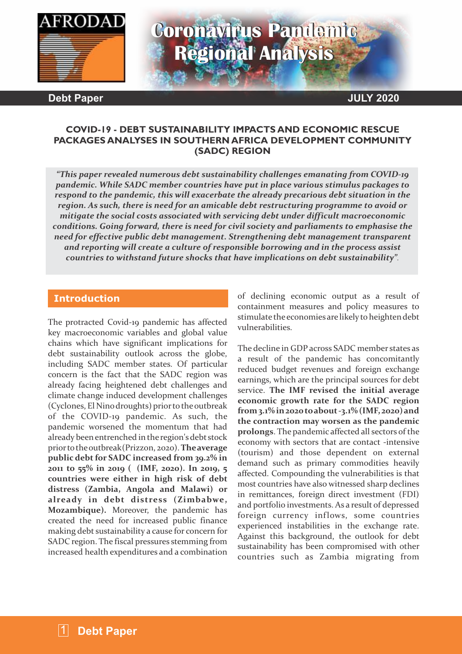

# **Coronavirus Pandemic Regional Analysis**

**Debt Paper JULY 2020**

#### **COVID-19 - DEBT SUSTAINABILITY IMPACTS AND ECONOMIC RESCUE PACKAGES ANALYSES IN SOUTHERN AFRICA DEVELOPMENT COMMUNITY (SADC) REGION**

*"This paper revealed numerous debt sustainability challenges emanating from COVID-19 pandemic. While SADC member countries have put in place various stimulus packages to respond to the pandemic, this will exacerbate the already precarious debt situation in the region. As such, there is need for an amicable debt restructuring programme to avoid or mitigate the social costs associated with servicing debt under difficult macroeconomic conditions. Going forward, there is need for civil society and parliaments to emphasise the need for effective public debt management. Strengthening debt management transparent and reporting will create a culture of responsible borrowing and in the process assist countries to withstand future shocks that have implications on debt sustainability".*

#### **Introduction**

The protracted Covid-19 pandemic has affected key macroeconomic variables and global value chains which have significant implications for debt sustainability outlook across the globe, including SADC member states. Of particular concern is the fact that the SADC region was already facing heightened debt challenges and climate change induced development challenges (Cyclones, El Nino droughts) prior to the outbreak of the COVID-19 pandemic. As such, the pandemic worsened the momentum that had already beenentrenched in the region'sdebt stock priortotheoutbreak(Prizzon, 2020). **Theaverage public debtfor SADC increased from 39.2% in 2011 to 55% in 2019 ( (IMF, 2020). In 2019, 5 countries were either in high risk of debt distress (Zambia, Angola and Malawi) or already in debt distress (Zimbabwe, Mozambique).** Moreover, the pandemic has created the need for increased public finance making debt sustainability a cause for concern for SADC region. The fiscal pressures stemming from increased health expenditures and a combination of declining economic output as a result of containment measures and policy measures to stimulate the economies are likely to heighten debt vulnerabilities.

The decline in GDP across SADC member states as a result of the pandemic has concomitantly reduced budget revenues and foreign exchange earnings, which are the principal sources for debt service. **The IMF revised the initial average economic growth rate for the SADC region from3.1% in2020 toabout-3.1% (IMF, 2020) and the contraction may worsen as the pandemic prolongs**. The pandemic affected all sectors of the economy with sectors that are contact -intensive (tourism) and those dependent on external demand such as primary commodities heavily affected. Compounding the vulnerabilities is that most countries have also witnessed sharp declines in remittances, foreign direct investment (FDI) and portfolio investments. As a result of depressed foreign currency inflows, some countries experienced instabilities in the exchange rate. Against this background, the outlook for debt sustainability has been compromised with other countries such as Zambia migrating from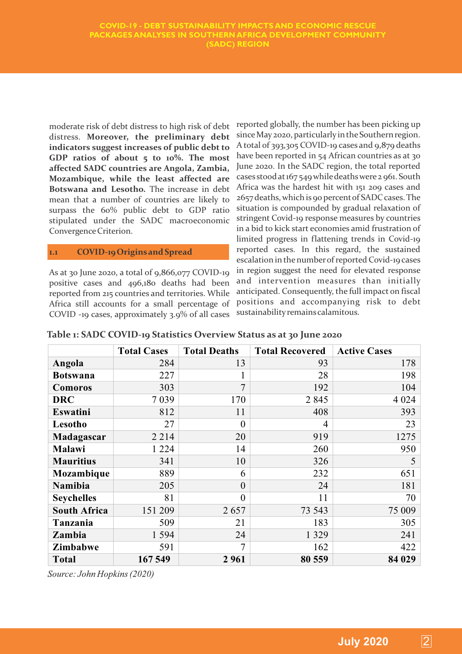moderate risk of debt distress to high risk of debt distress. **Moreover, the preliminary debt indicators suggest increases of public debt to GDP ratios of about 5 to 10%. The most affected SADC countries are Angola, Zambia, Mozambique, while the least affected are Botswana and Lesotho.** The increase in debt mean that a number of countries are likely to surpass the 60% public debt to GDP ratio stipulated under the SADC macroeconomic Convergence Criterion.

#### **1.1 COVID-19 Originsand Spread**

As at 30 June 2020, a total of 9,866,077 COVID-19 positive cases and 496,180 deaths had been reported from 215 countries and territories. While Africa still accounts for a small percentage of COVID -19 cases, approximately 3.9% of all cases

reported globally, the number has been picking up since May 2020, particularly in the Southern region. A total of 393,305 COVID-19 cases and 9,879 deaths have been reported in 54 African countries as at 30 June 2020. In the SADC region, the total reported cases stood at167 549 whiledeathswere 2 961. South Africa was the hardest hit with 151 209 cases and 2657 deaths, which is 90 percent of SADC cases. The situation is compounded by gradual relaxation of stringent Covid-19 response measures by countries in a bid to kick start economies amid frustration of limited progress in flattening trends in Covid-19 reported cases. In this regard, the sustained escalation in the number of reported Covid-19 cases in region suggest the need for elevated response and intervention measures than initially anticipated. Consequently, the full impact on fiscal positions and accompanying risk to debt sustainabilityremainscalamitous.

#### **Table 1: SADC COVID-19 Statistics Overview Status as at 30 June 2020**

|                     | <b>Total Cases</b> | <b>Total Deaths</b> | <b>Total Recovered</b> | <b>Active Cases</b> |
|---------------------|--------------------|---------------------|------------------------|---------------------|
| Angola              | 284                | 13                  | 93                     | 178                 |
| <b>Botswana</b>     | 227                |                     | 28                     | 198                 |
| <b>Comoros</b>      | 303                | 7                   | 192                    | 104                 |
| <b>DRC</b>          | 7039               | 170                 | 2845                   | 4 0 2 4             |
| Eswatini            | 812                | 11                  | 408                    | 393                 |
| Lesotho             | 27                 | $\theta$            | $\overline{4}$         | 23                  |
| Madagascar          | 2 2 1 4            | 20                  | 919                    | 1275                |
| Malawi              | 1 2 2 4            | 14                  | 260                    | 950                 |
| <b>Mauritius</b>    | 341                | 10                  | 326                    | 5                   |
| Mozambique          | 889                | 6                   | 232                    | 651                 |
| Namibia             | 205                | $\theta$            | 24                     | 181                 |
| <b>Seychelles</b>   | 81                 | $\theta$            | 11                     | 70                  |
| <b>South Africa</b> | 151 209            | 2657                | 73 543                 | 75 009              |
| Tanzania            | 509                | 21                  | 183                    | 305                 |
| Zambia              | 1 5 9 4            | 24                  | 1 3 2 9                | 241                 |
| <b>Zimbabwe</b>     | 591                | $\overline{7}$      | 162                    | 422                 |
| <b>Total</b>        | 167 549            | 2961                | 80 559                 | 84 029              |

Source: John Hopkins (2020)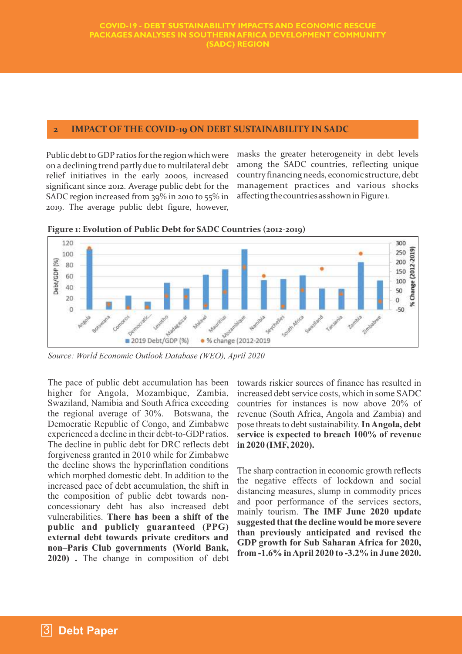#### **2 IMPACT OF THE COVID-19 ON DEBT SUSTAINABILITY IN SADC**

Public debt to GDP ratios for the region which were on a declining trend partly due to multilateral debt relief initiatives in the early 2000s, increased significant since 2012. Average public debt for the SADC region increased from 39% in 2010 to 55% in 2019. The average public debt figure, however, masks the greater heterogeneity in debt levels among the SADC countries, reflecting unique country financing needs, economic structure, debt management practices and various shocks affecting the countries as shown in Figure 1.



**Figure 1: Evolution of Public Debt for SADC Countries (2012-2019)**

*Source: World Economic Outlook Database (WEO), April 2020*

The pace of public debt accumulation has been higher for Angola, Mozambique, Zambia, Swaziland, Namibia and South Africa exceeding the regional average of 30%. Botswana, the Democratic Republic of Congo, and Zimbabwe experienced a decline in their debt-to-GDP ratios. The decline in public debt for DRC reflects debt forgiveness granted in 2010 while for Zimbabwe the decline shows the hyperinflation conditions which morphed domestic debt. In addition to the increased pace of debt accumulation, the shift in the composition of public debt towards nonconcessionary debt has also increased debt vulnerabilities. **There has been a shift of the public and publicly guaranteed (PPG) external debt towards private creditors and non–Paris Club governments (World Bank, 2020) .** The change in composition of debt

towards riskier sources of finance has resulted in increased debt service costs, which in some SADC countries for instances is now above 20% of revenue (South Africa, Angola and Zambia) and pose threats to debt sustainability. **In Angola, debt service is expected to breach 100% of revenue in 2020 (IMF, 2020).**

The sharp contraction in economic growth reflects the negative effects of lockdown and social distancing measures, slump in commodity prices and poor performance of the services sectors, mainly tourism. **The IMF June 2020 update suggested that the decline would be more severe than previously anticipated and revised the GDP growth for Sub Saharan Africa for 2020, from -1.6% in April 2020 to -3.2% in June 2020.**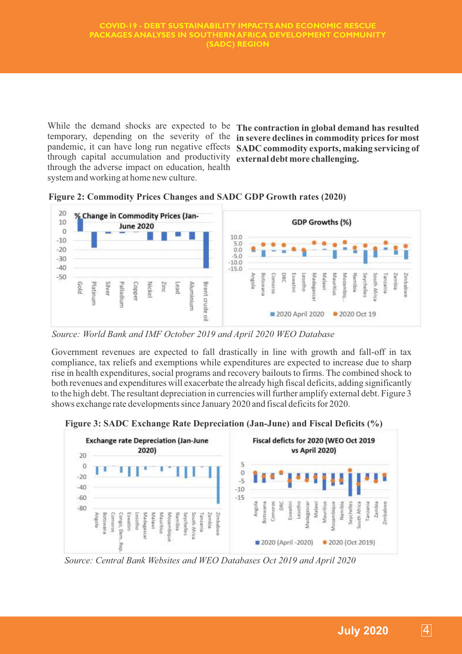While the demand shocks are expected to be **The contraction in global demand has resulted**  temporary, depending on the severity of the **in severe declines in commodity prices for most**  pandemic, it can have long run negative effects **SADC commodity exports, making servicing of**  through capital accumulation and productivity through the adverse impact on education, health system and working at home new culture.

**external debt more challenging.**



**Figure 2: Commodity Prices Changes and SADC GDP Growth rates (2020)**

*Source: World Bank and IMF October 2019 and April 2020 WEO Database* 

Government revenues are expected to fall drastically in line with growth and fall-off in tax compliance, tax reliefs and exemptions while expenditures are expected to increase due to sharp rise in health expenditures, social programs and recovery bailouts to firms. The combined shock to both revenues and expenditures will exacerbate the already high fiscal deficits, adding significantly to the high debt. The resultant depreciation in currencies will further amplify external debt. Figure 3 shows exchange rate developments since January 2020 and fiscal deficits for 2020.



**Figure 3: SADC Exchange Rate Depreciation (Jan-June) and Fiscal Deficits (%)**

*Source: Central Bank Websites and WEO Databases Oct 2019 and April 2020*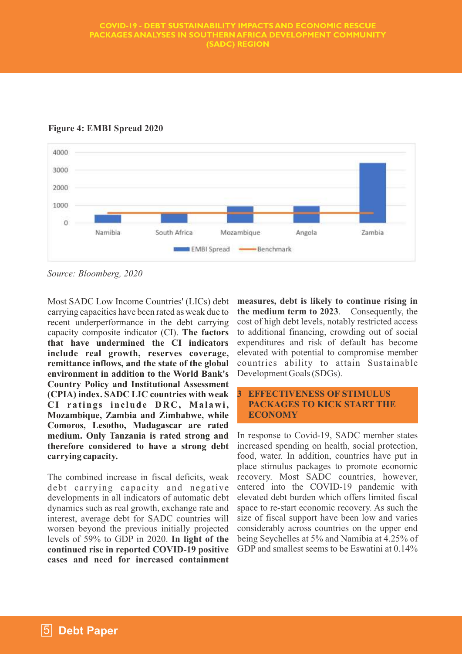#### **COVID-19 - DEBT SUSTAINABILITY IMPACTS AND ECONOMIC RESCUE PACKAGES ANALYSES IN SOUTHERN AFRICA DEVELOPMENT COMMUNITY (SADC) REGION**



**Figure 4: EMBI Spread 2020**

*Source: Bloomberg, 2020*

Most SADC Low Income Countries' (LICs) debt carrying capacities have been rated as weak due to recent underperformance in the debt carrying capacity composite indicator (CI). **The factors that have undermined the CI indicators include real growth, reserves coverage, remittance inflows, and the state of the global environment in addition to the World Bank's Country Policy and Institutional Assessment (CPIA) index. SADC LIC countries with weak CI r a ting s inc lude DRC, Ma l awi, Mozambique, Zambia and Zimbabwe, while Comoros, Lesotho, Madagascar are rated medium. Only Tanzania is rated strong and therefore considered to have a strong debt carrying capacity.** 

The combined increase in fiscal deficits, weak debt carrying capacity and negative developments in all indicators of automatic debt dynamics such as real growth, exchange rate and interest, average debt for SADC countries will worsen beyond the previous initially projected levels of 59% to GDP in 2020. **In light of the continued rise in reported COVID-19 positive cases and need for increased containment**  **measures, debt is likely to continue rising in the medium term to 2023**. Consequently, the cost of high debt levels, notably restricted access to additional financing, crowding out of social expenditures and risk of default has become elevated with potential to compromise member countries ability to attain Sustainable Development Goals (SDGs).

#### **3 EFFECTIVENESS OF STIMULUS PACKAGES TO KICK START THE ECONOMY**

In response to Covid-19, SADC member states increased spending on health, social protection, food, water. In addition, countries have put in place stimulus packages to promote economic recovery. Most SADC countries, however, entered into the COVID-19 pandemic with elevated debt burden which offers limited fiscal space to re-start economic recovery. As such the size of fiscal support have been low and varies considerably across countries on the upper end being Seychelles at 5% and Namibia at 4.25% of GDP and smallest seems to be Eswatini at 0.14%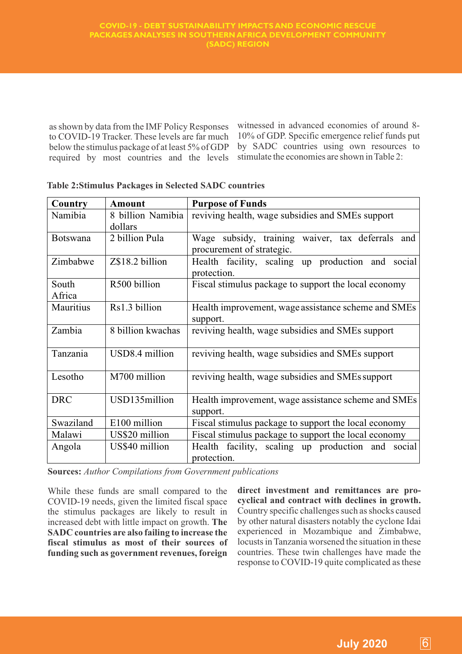as shown by data from the IMF Policy Responses to COVID-19 Tracker. These levels are far much below the stimulus package of at least 5% of GDP required by most countries and the levels witnessed in advanced economies of around 8- 10% of GDP. Specific emergence relief funds put by SADC countries using own resources to stimulate the economies are shown in Table 2:

| Country         | <b>Amount</b>     | <b>Purpose of Funds</b>                                                       |  |  |
|-----------------|-------------------|-------------------------------------------------------------------------------|--|--|
| Namibia         | 8 billion Namibia | reviving health, wage subsidies and SMEs support                              |  |  |
|                 | dollars           |                                                                               |  |  |
| <b>Botswana</b> | 2 billion Pula    | Wage subsidy, training waiver, tax deferrals and<br>procurement of strategic. |  |  |
| Zimbabwe        | Z\$18.2 billion   | Health facility, scaling up production and social<br>protection.              |  |  |
| South<br>Africa | R500 billion      | Fiscal stimulus package to support the local economy                          |  |  |
| Mauritius       | Rs1.3 billion     | Health improvement, wage assistance scheme and SMEs<br>support.               |  |  |
| Zambia          | 8 billion kwachas | reviving health, wage subsidies and SMEs support                              |  |  |
| Tanzania        | USD8.4 million    | reviving health, wage subsidies and SMEs support                              |  |  |
| Lesotho         | M700 million      | reviving health, wage subsidies and SMEs support                              |  |  |
| <b>DRC</b>      | USD135million     | Health improvement, wage assistance scheme and SMEs<br>support.               |  |  |
| Swaziland       | E100 million      | Fiscal stimulus package to support the local economy                          |  |  |
| Malawi          | US\$20 million    | Fiscal stimulus package to support the local economy                          |  |  |
| Angola          | US\$40 million    | Health facility, scaling up production and social<br>protection.              |  |  |

#### **Table 2:Stimulus Packages in Selected SADC countries**

**Sources:** *Author Compilations from Government publications*

While these funds are small compared to the COVID-19 needs, given the limited fiscal space the stimulus packages are likely to result in increased debt with little impact on growth. **The SADC countries are also failing to increase the fiscal stimulus as most of their sources of funding such as government revenues, foreign**  **direct investment and remittances are procyclical and contract with declines in growth.**  Country specific challenges such as shocks caused by other natural disasters notably the cyclone Idai experienced in Mozambique and Zimbabwe, locusts in Tanzania worsened the situation in these countries. These twin challenges have made the response to COVID-19 quite complicated as these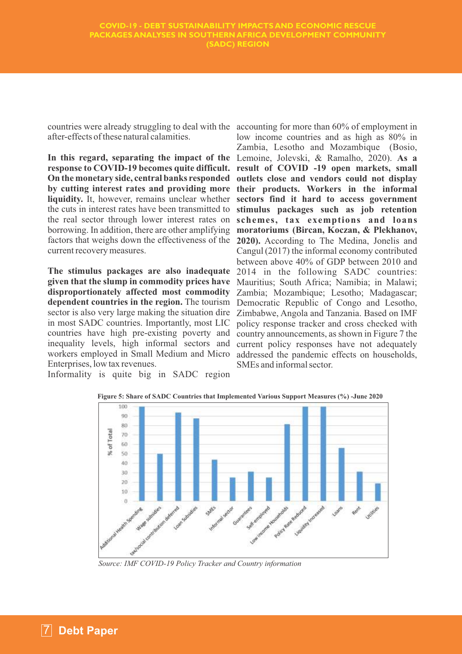countries were already struggling to deal with the accounting for more than 60% of employment in after-effects of these natural calamities.

**In this regard, separating the impact of the**  Lemoine, Jolevski, & Ramalho, 2020). **As a**  response to COVID-19 becomes quite difficult. result of COVID -19 open markets, small **On the monetary side, central banks responded outlets close and vendors could not display**  by cutting interest rates and providing more their products. Workers in the informal **liquidity.** It, however, remains unclear whether **sectors find it hard to access government**  the cuts in interest rates have been transmitted to the real sector through lower interest rates on **schemes, tax exemptions and loans** borrowing. In addition, there are other amplifying **moratoriums (Bircan, Koczan, & Plekhanov,**  factors that weighs down the effectiveness of the **2020).** According to The Medina, Jonelis and current recovery measures.

**The stimulus packages are also inadequate given that the slump in commodity prices have disproportionately affected most commodity dependent countries in the region.** The tourism sector is also very large making the situation dire in most SADC countries. Importantly, most LIC countries have high pre-existing poverty and inequality levels, high informal sectors and workers employed in Small Medium and Micro Enterprises, low tax revenues.

Informality is quite big in SADC region

low income countries and as high as 80% in Zambia, Lesotho and Mozambique (Bosio, **stimulus packages such as job retention**  Cangul (2017) the informal economy contributed between above 40% of GDP between 2010 and 2014 in the following SADC countries: Mauritius; South Africa; Namibia; in Malawi; Zambia; Mozambique; Lesotho; Madagascar; Democratic Republic of Congo and Lesotho, Zimbabwe, Angola and Tanzania. Based on IMF policy response tracker and cross checked with country announcements, as shown in Figure 7 the current policy responses have not adequately addressed the pandemic effects on households, SMEs and informal sector.



**Figure 5: Share of SADC Countries that Implemented Various Support Measures (%) -June 2020**

*Source: IMF COVID-19 Policy Tracker and Country information*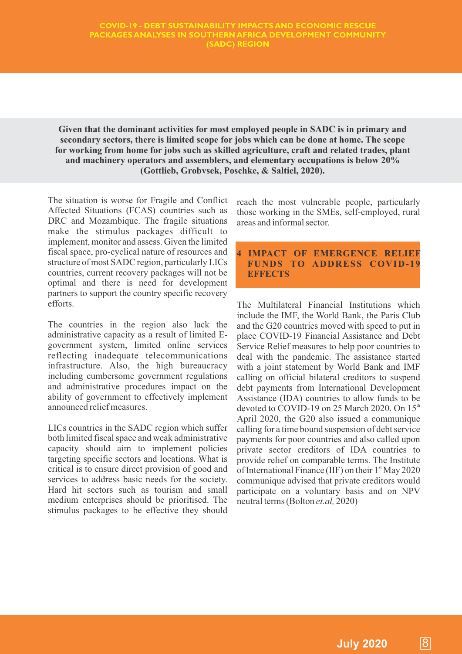**Given that the dominant activities for most employed people in SADC is in primary and secondary sectors, there is limited scope for jobs which can be done at home. The scope for working from home for jobs such as skilled agriculture, craft and related trades, plant and machinery operators and assemblers, and elementary occupations is below 20% (Gottlieb, Grobvsek, Poschke, & Saltiel, 2020).**

The situation is worse for Fragile and Conflict Affected Situations (FCAS) countries such as DRC and Mozambique. The fragile situations make the stimulus packages difficult to implement, monitor and assess. Given the limited fiscal space, pro-cyclical nature of resources and structure of most SADC region, particularly LICs countries, current recovery packages will not be optimal and there is need for development partners to support the country specific recovery efforts.

The countries in the region also lack the administrative capacity as a result of limited Egovernment system, limited online services reflecting inadequate telecommunications infrastructure. Also, the high bureaucracy including cumbersome government regulations and administrative procedures impact on the ability of government to effectively implement announced relief measures.

LICs countries in the SADC region which suffer both limited fiscal space and weak administrative capacity should aim to implement policies targeting specific sectors and locations. What is critical is to ensure direct provision of good and services to address basic needs for the society. Hard hit sectors such as tourism and small medium enterprises should be prioritised. The stimulus packages to be effective they should reach the most vulnerable people, particularly those working in the SMEs, self-employed, rural areas and informal sector.

#### **4 IMPACT OF EMERGENCE RELIEF FUNDS TO ADDRESS COVID-19 EFFECTS**

The Multilateral Financial Institutions which include the IMF, the World Bank, the Paris Club and the G20 countries moved with speed to put in place COVID-19 Financial Assistance and Debt Service Relief measures to help poor countries to deal with the pandemic. The assistance started with a joint statement by World Bank and IMF calling on official bilateral creditors to suspend debt payments from International Development Assistance (IDA) countries to allow funds to be devoted to COVID-19 on 25 March 2020. On  $15<sup>th</sup>$ April 2020, the G20 also issued a communique calling for a time bound suspension of debt service payments for poor countries and also called upon private sector creditors of IDA countries to provide relief on comparable terms. The Institute of International Finance (IIF) on their  $1<sup>st</sup>$  May 2020 communique advised that private creditors would participate on a voluntary basis and on NPV neutral terms (Bolton *et.al,* 2020)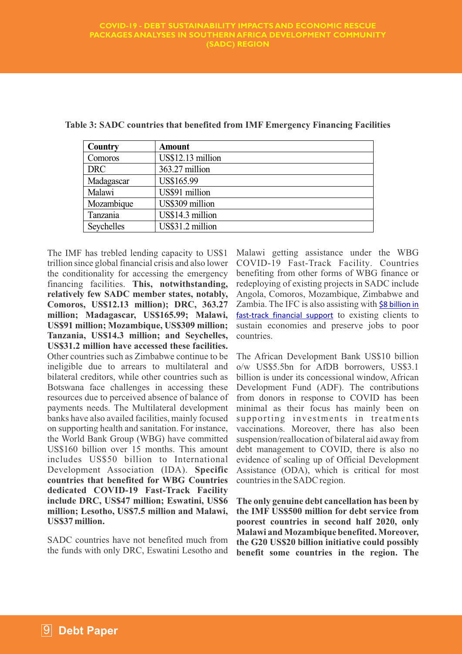| Country    | <b>Amount</b>     |
|------------|-------------------|
| Comoros    | US\$12.13 million |
| <b>DRC</b> | 363.27 million    |
| Madagascar | US\$165.99        |
| Malawi     | US\$91 million    |
| Mozambique | US\$309 million   |
| Tanzania   | US\$14.3 million  |
| Seychelles | US\$31.2 million  |

**Table 3: SADC countries that benefited from IMF Emergency Financing Facilities**

The IMF has trebled lending capacity to US\$1 trillion since global financial crisis and also lower the conditionality for accessing the emergency financing facilities. **This, notwithstanding, relatively few SADC member states, notably, Comoros, US\$12.13 million); DRC, 363.27 million; Madagascar, US\$165.99; Malawi, US\$91 million; Mozambique, US\$309 million; Tanzania, US\$14.3 million; and Seychelles, US\$31.2 million have accessed these facilities.**  Other countries such as Zimbabwe continue to be ineligible due to arrears to multilateral and bilateral creditors, while other countries such as Botswana face challenges in accessing these resources due to perceived absence of balance of payments needs. The Multilateral development banks have also availed facilities, mainly focused on supporting health and sanitation. For instance, the World Bank Group (WBG) have committed US\$160 billion over 15 months. This amount includes US\$50 billion to International Development Association (IDA). **Specific countries that benefited for WBG Countries dedicated COVID-19 Fast-Track Facility include DRC, US\$47 million; Eswatini, US\$6 million; Lesotho, US\$7.5 million and Malawi, US\$37 million.**

SADC countries have not benefited much from the funds with only DRC, Eswatini Lesotho and Malawi getting assistance under the WBG COVID-19 Fast-Track Facility. Countries benefiting from other forms of WBG finance or redeploying of existing projects in SADC include Angola, Comoros, Mozambique, Zimbabwe and Zambia. The IFC is also assisting with \$8 billion in fast-track financial support to existing clients to sustain economies and preserve jobs to poor countries.

The African Development Bank US\$10 billion o/w US\$5.5bn for AfDB borrowers, US\$3.1 billion is under its concessional window, African Development Fund (ADF). The contributions from donors in response to COVID has been minimal as their focus has mainly been on supporting investments in treatments vaccinations. Moreover, there has also been suspension/reallocation of bilateral aid away from debt management to COVID, there is also no evidence of scaling up of Official Development Assistance (ODA), which is critical for most countries in the SADC region.

**The only genuine debt cancellation has been by the IMF US\$500 million for debt service from poorest countries in second half 2020, only Malawi and Mozambique benefited. Moreover, the G20 US\$20 billion initiative could possibly benefit some countries in the region. The**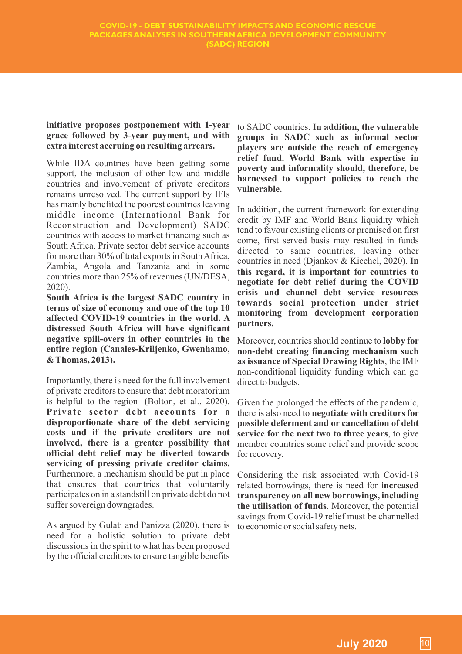#### **initiative proposes postponement with 1-year grace followed by 3-year payment, and with extra interest accruing on resulting arrears.**

While IDA countries have been getting some support, the inclusion of other low and middle countries and involvement of private creditors remains unresolved. The current support by IFIs has mainly benefited the poorest countries leaving middle income (International Bank for Reconstruction and Development) SADC countries with access to market financing such as South Africa. Private sector debt service accounts for more than 30% of total exports in South Africa, Zambia, Angola and Tanzania and in some countries more than 25% of revenues (UN/DESA, 2020).

**South Africa is the largest SADC country in terms of size of economy and one of the top 10 affected COVID-19 countries in the world. A distressed South Africa will have significant negative spill-overs in other countries in the entire region (Canales-Kriljenko, Gwenhamo, & Thomas, 2013).** 

Importantly, there is need for the full involvement of private creditors to ensure that debt moratorium is helpful to the region (Bolton, et al., 2020). **Private sector debt accounts for a disproportionate share of the debt servicing costs and if the private creditors are not involved, there is a greater possibility that official debt relief may be diverted towards servicing of pressing private creditor claims.**  Furthermore, a mechanism should be put in place that ensures that countries that voluntarily participates on in a standstill on private debt do not suffer sovereign downgrades.

As argued by Gulati and Panizza (2020), there is need for a holistic solution to private debt discussions in the spirit to what has been proposed by the official creditors to ensure tangible benefits

to SADC countries. **In addition, the vulnerable groups in SADC such as informal sector players are outside the reach of emergency relief fund. World Bank with expertise in poverty and informality should, therefore, be harnessed to support policies to reach the vulnerable.**

In addition, the current framework for extending credit by IMF and World Bank liquidity which tend to favour existing clients or premised on first come, first served basis may resulted in funds directed to same countries, leaving other countries in need (Djankov & Kiechel, 2020). **In this regard, it is important for countries to negotiate for debt relief during the COVID crisis and channel debt service resources towards social protection under strict monitoring from development corporation partners.**

Moreover, countries should continue to **lobby for non-debt creating financing mechanism such as issuance of Special Drawing Rights**, the IMF non-conditional liquidity funding which can go direct to budgets.

Given the prolonged the effects of the pandemic, there is also need to **negotiate with creditors for possible deferment and or cancellation of debt service for the next two to three years**, to give member countries some relief and provide scope for recovery.

Considering the risk associated with Covid-19 related borrowings, there is need for **increased transparency on all new borrowings, including the utilisation of funds**. Moreover, the potential savings from Covid-19 relief must be channelled to economic or social safety nets.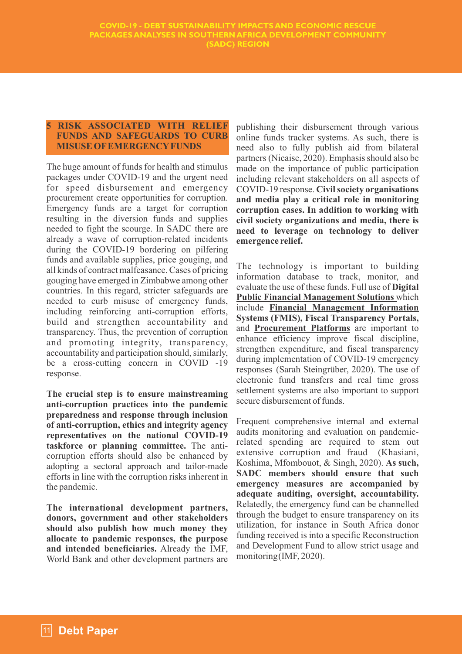#### **5 RISK ASSOCIATED WITH RELIEF FUNDS AND SAFEGUARDS TO CURB MISUSE OFEMERGENCYFUNDS**

The huge amount of funds for health and stimulus packages under COVID-19 and the urgent need for speed disbursement and emergency procurement create opportunities for corruption. Emergency funds are a target for corruption resulting in the diversion funds and supplies needed to fight the scourge. In SADC there are already a wave of corruption-related incidents during the COVID-19 bordering on pilfering funds and available supplies, price gouging, and all kinds of contract malfeasance. Cases of pricing gouging have emerged in Zimbabwe among other countries. In this regard, stricter safeguards are needed to curb misuse of emergency funds, including reinforcing anti-corruption efforts, build and strengthen accountability and transparency. Thus, the prevention of corruption and promoting integrity, transparency, accountability and participation should, similarly, be a cross-cutting concern in COVID -19 response.

**The crucial step is to ensure mainstreaming anti-corruption practices into the pandemic preparedness and response through inclusion of anti-corruption, ethics and integrity agency representatives on the national COVID-19 taskforce or planning committee.** The anticorruption efforts should also be enhanced by adopting a sectoral approach and tailor-made efforts in line with the corruption risks inherent in the pandemic.

**The international development partners, donors, government and other stakeholders should also publish how much money they allocate to pandemic responses, the purpose and intended beneficiaries.** Already the IMF, World Bank and other development partners are publishing their disbursement through various online funds tracker systems. As such, there is need also to fully publish aid from bilateral partners (Nicaise, 2020). Emphasis should also be made on the importance of public participation including relevant stakeholders on all aspects of COVID-19 response. **Civil society organisations and media play a critical role in monitoring corruption cases. In addition to working with civil society organizations and media, there is need to leverage on technology to deliver emergence relief.** 

The technology is important to building information database to track, monitor, and evaluate the use of these funds. Full use of **Digital Public Financial Management Solutions** which include **Financial Management Information Systems (FMIS), Fiscal Transparency Portals,** and **Procurement Platforms** are important to enhance efficiency improve fiscal discipline, strengthen expenditure, and fiscal transparency during implementation of COVID-19 emergency responses (Sarah Steingrüber, 2020). The use of electronic fund transfers and real time gross settlement systems are also important to support secure disbursement of funds.

Frequent comprehensive internal and external audits monitoring and evaluation on pandemicrelated spending are required to stem out extensive corruption and fraud (Khasiani, Koshima, Mfombouot, & Singh, 2020). **As such, SADC members should ensure that such emergency measures are accompanied by adequate auditing, oversight, accountability.** Relatedly, the emergency fund can be channelled through the budget to ensure transparency on its utilization, for instance in South Africa donor funding received is into a specific Reconstruction and Development Fund to allow strict usage and monitoring (IMF, 2020).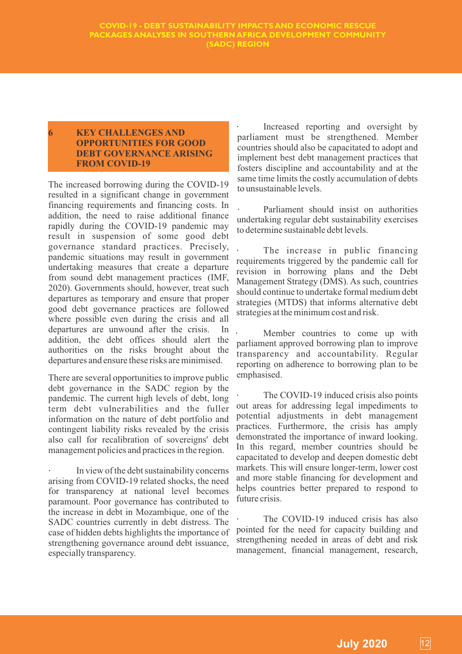#### **6 KEY CHALLENGES AND OPPORTUNITIES FOR GOOD DEBT GOVERNANCE ARISING FROM COVID-19**

The increased borrowing during the COVID-19 resulted in a significant change in government financing requirements and financing costs. In addition, the need to raise additional finance rapidly during the COVID-19 pandemic may result in suspension of some good debt governance standard practices. Precisely, pandemic situations may result in government undertaking measures that create a departure from sound debt management practices (IMF, 2020). Governments should, however, treat such departures as temporary and ensure that proper good debt governance practices are followed where possible even during the crisis and all departures are unwound after the crisis. In addition, the debt offices should alert the authorities on the risks brought about the departures and ensure these risks are minimised.

There are several opportunities to improve public debt governance in the SADC region by the pandemic. The current high levels of debt, long term debt vulnerabilities and the fuller information on the nature of debt portfolio and contingent liability risks revealed by the crisis also call for recalibration of sovereigns' debt management policies and practices in the region.

In view of the debt sustainability concerns arising from COVID-19 related shocks, the need for transparency at national level becomes paramount. Poor governance has contributed to the increase in debt in Mozambique, one of the SADC countries currently in debt distress. The case of hidden debts highlights the importance of strengthening governance around debt issuance, especially transparency.

Increased reporting and oversight by parliament must be strengthened. Member countries should also be capacitated to adopt and implement best debt management practices that fosters discipline and accountability and at the same time limits the costly accumulation of debts to unsustainable levels.

Parliament should insist on authorities undertaking regular debt sustainability exercises to determine sustainable debt levels.

The increase in public financing requirements triggered by the pandemic call for revision in borrowing plans and the Debt Management Strategy (DMS). As such, countries should continue to undertake formal medium debt strategies (MTDS) that informs alternative debt strategies at the minimum cost and risk.

Member countries to come up with parliament approved borrowing plan to improve transparency and accountability. Regular reporting on adherence to borrowing plan to be emphasised.

The COVID-19 induced crisis also points out areas for addressing legal impediments to potential adjustments in debt management practices. Furthermore, the crisis has amply demonstrated the importance of inward looking. In this regard, member countries should be capacitated to develop and deepen domestic debt markets. This will ensure longer-term, lower cost and more stable financing for development and helps countries better prepared to respond to future crisis.

The COVID-19 induced crisis has also pointed for the need for capacity building and strengthening needed in areas of debt and risk management, financial management, research,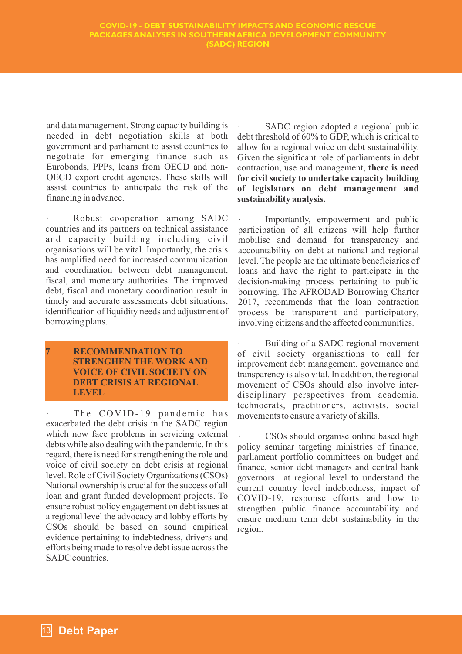and data management. Strong capacity building is needed in debt negotiation skills at both government and parliament to assist countries to negotiate for emerging finance such as Eurobonds, PPPs, loans from OECD and non-OECD export credit agencies. These skills will assist countries to anticipate the risk of the financing in advance.

Robust cooperation among SADC countries and its partners on technical assistance and capacity building including civil organisations will be vital. Importantly, the crisis has amplified need for increased communication and coordination between debt management, fiscal, and monetary authorities. The improved debt, fiscal and monetary coordination result in timely and accurate assessments debt situations, identification of liquidity needs and adjustment of borrowing plans.

#### **7 RECOMMENDATION TO STRENGHEN THE WORK AND VOICE OF CIVIL SOCIETY ON DEBT CRISIS AT REGIONAL LEVEL**

The COVID-19 pandemic has exacerbated the debt crisis in the SADC region which now face problems in servicing external debts while also dealing with the pandemic. In this regard, there is need for strengthening the role and voice of civil society on debt crisis at regional level. Role of Civil Society Organizations (CSOs) National ownership is crucial for the success of all loan and grant funded development projects. To ensure robust policy engagement on debt issues at a regional level the advocacy and lobby efforts by CSOs should be based on sound empirical evidence pertaining to indebtedness, drivers and efforts being made to resolve debt issue across the SADC countries.

SADC region adopted a regional public debt threshold of 60% to GDP, which is critical to allow for a regional voice on debt sustainability. Given the significant role of parliaments in debt contraction, use and management, **there is need for civil society to undertake capacity building of legislators on debt management and sustainability analysis.**

Importantly, empowerment and public participation of all citizens will help further mobilise and demand for transparency and accountability on debt at national and regional level. The people are the ultimate beneficiaries of loans and have the right to participate in the decision-making process pertaining to public borrowing. The AFRODAD Borrowing Charter 2017, recommends that the loan contraction process be transparent and participatory, involving citizens and the affected communities.

Building of a SADC regional movement of civil society organisations to call for improvement debt management, governance and transparency is also vital. In addition, the regional movement of CSOs should also involve interdisciplinary perspectives from academia, technocrats, practitioners, activists, social movements to ensure a variety of skills.

CSOs should organise online based high policy seminar targeting ministries of finance, parliament portfolio committees on budget and finance, senior debt managers and central bank governors at regional level to understand the current country level indebtedness, impact of COVID-19, response efforts and how to strengthen public finance accountability and ensure medium term debt sustainability in the region.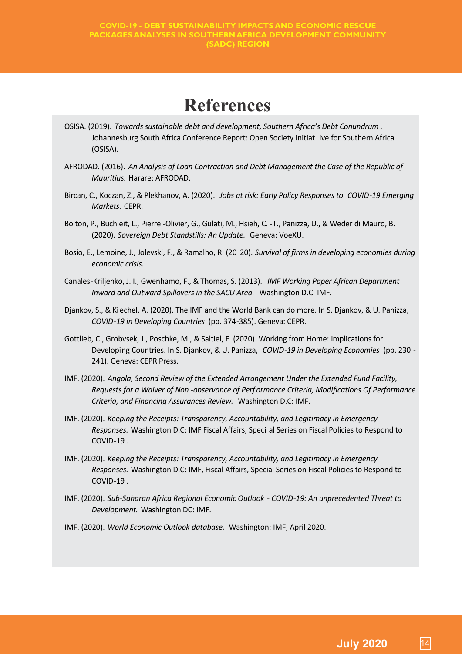## **References**

- OSISA. (2019). *Towards sustainable debt and development, Southern Africa's Debt Conundrum .* Johannesburg South Africa Conference Report: Open Society Initiat ive for Southern Africa (OSISA).
- AFRODAD. (2016). *An Analysis of Loan Contraction and Debt Management the Case of the Republic of Mauritius.* Harare: AFRODAD.
- Bircan, C., Koczan, Z., & Plekhanov, A. (2020). *Jobs at risk: Early Policy Responses to COVID-19 Emerging Markets.* CEPR.
- Bolton, P., Buchleit, L., Pierre -Olivier, G., Gulati, M., Hsieh, C. -T., Panizza, U., & Weder di Mauro, B. (2020). *Sovereign Debt Standstills: An Update.* Geneva: VoeXU.
- Bosio, E., Lemoine, J., Jolevski, F., & Ramalho, R. (20 20). *Survival of firms in developing economies during economic crisis.*
- Canales-Kriljenko, J. I., Gwenhamo, F., & Thomas, S. (2013). *IMF Working Paper African Department Inward and Outward Spillovers in the SACU Area.* Washington D.C: IMF.
- Djankov, S., & Kiechel, A. (2020). The IMF and the World Bank can do more. In S. Djankov, & U. Panizza, *COVID-19 in Developing Countries* (pp. 374-385). Geneva: CEPR.
- Gottlieb, C., Grobvsek, J., Poschke, M., & Saltiel, F. (2020). Working from Home: Implications for Developing Countries. In S. Djankov, & U. Panizza, *COVID-19 in Developing Economies* (pp. 230 - 241). Geneva: CEPR Press.
- IMF. (2020). *Angola, Second Review of the Extended Arrangement Under the Extended Fund Facility, Requests for a Waiver of Non -observance of Perf ormance Criteria, Modifications Of Performance Criteria, and Financing Assurances Review.* Washington D.C: IMF.
- IMF. (2020). *Keeping the Receipts: Transparency, Accountability, and Legitimacy in Emergency Responses.* Washington D.C: IMF Fiscal Affairs, Speci al Series on Fiscal Policies to Respond to COVID-19 .
- IMF. (2020). *Keeping the Receipts: Transparency, Accountability, and Legitimacy in Emergency Responses.* Washington D.C: IMF, Fiscal Affairs, Special Series on Fiscal Policies to Respond to COVID-19 .
- IMF. (2020). *Sub-Saharan Africa Regional Economic Outlook - COVID-19: An unprecedented Threat to Development.* Washington DC: IMF.
- IMF. (2020). *World Economic Outlook database.* Washington: IMF, April 2020.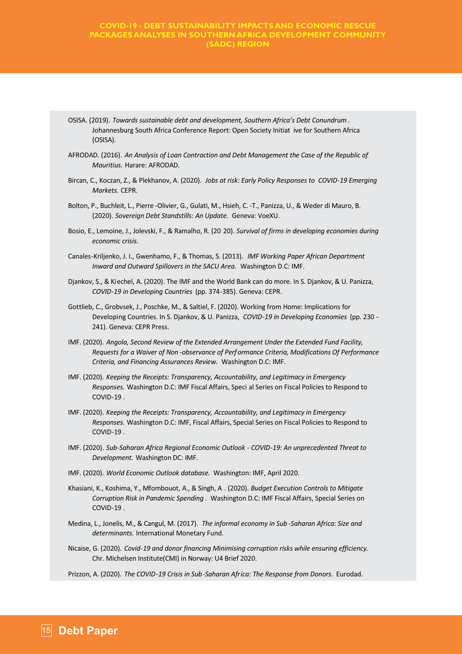#### **COVID-19 - DEBT SUSTAINABILITY IMPACTS AND ECONOMIC RESCUE PACKAGES ANALYSES IN SOUTHERN AFRICA DEVELOPMENT COMMUNITY (SADC) REGION**

- OSISA. (2019). *Towards sustainable debt and development, Southern Africa's Debt Conundrum .* Johannesburg South Africa Conference Report: Open Society Initiat ive for Southern Africa (OSISA).
- AFRODAD. (2016). *An Analysis of Loan Contraction and Debt Management the Case of the Republic of Mauritius.* Harare: AFRODAD.
- Bircan, C., Koczan, Z., & Plekhanov, A. (2020). *Jobs at risk: Early Policy Responses to COVID-19 Emerging Markets.* CEPR.
- Bolton, P., Buchleit, L., Pierre -Olivier, G., Gulati, M., Hsieh, C. -T., Panizza, U., & Weder di Mauro, B. (2020). *Sovereign Debt Standstills: An Update.* Geneva: VoeXU.
- Bosio, E., Lemoine, J., Jolevski, F., & Ramalho, R. (20 20). *Survival of firms in developing economies during economic crisis.*
- Canales-Kriljenko, J. I., Gwenhamo, F., & Thomas, S. (2013). *IMF Working Paper African Department Inward and Outward Spillovers in the SACU Area.* Washington D.C: IMF.
- Djankov, S., & Kiechel, A. (2020). The IMF and the World Bank can do more. In S. Djankov, & U. Panizza, *COVID-19 in Developing Countries* (pp. 374-385). Geneva: CEPR.
- Gottlieb, C., Grobvsek, J., Poschke, M., & Saltiel, F. (2020). Working from Home: Implications for Developing Countries. In S. Djankov, & U. Panizza, *COVID-19 in Developing Economies* (pp. 230 - 241). Geneva: CEPR Press.
- IMF. (2020). *Angola, Second Review of the Extended Arrangement Under the Extended Fund Facility, Requests for a Waiver of Non -observance of Performance Criteria, Modifications Of Performance Criteria, and Financing Assurances Review.* Washington D.C: IMF.
- IMF. (2020). *Keeping the Receipts: Transparency, Accountability, and Legitimacy in Emergency Responses.* Washington D.C: IMF Fiscal Affairs, Speci al Series on Fiscal Policies to Respond to COVID-19 .
- IMF. (2020). *Keeping the Receipts: Transparency, Accountability, and Legitimacy in Emergency Responses.* Washington D.C: IMF, Fiscal Affairs, Special Series on Fiscal Policies to Respond to COVID-19 .
- IMF. (2020). *Sub-Saharan Africa Regional Economic Outlook - COVID-19: An unprecedented Threat to Development.* Washington DC: IMF.
- IMF. (2020). *World Economic Outlook database.* Washington: IMF, April 2020.
- Khasiani, K., Koshima, Y., Mfombouot, A., & Singh, A . (2020). *Budget Execution Controls to Mitigate Corruption Risk in Pandemic Spending .* Washington D.C: IMF Fiscal Affairs, Special Series on COVID-19 .
- Medina, L., Jonelis, M., & Cangul, M. (2017). *The informal economy in Sub -Saharan Africa: Size and determinants.* International Monetary Fund.
- Nicaise, G. (2020). *Covid-19 and donor financing Minimising corruption risks while ensuring efficiency.* Chr. Michelsen Institute(CMI) in Norway: U4 Brief 2020.

Prizzon, A. (2020). *The COVID-19 Crisis in Sub-Saharan Africa: The Response from Donors.* Eurodad.